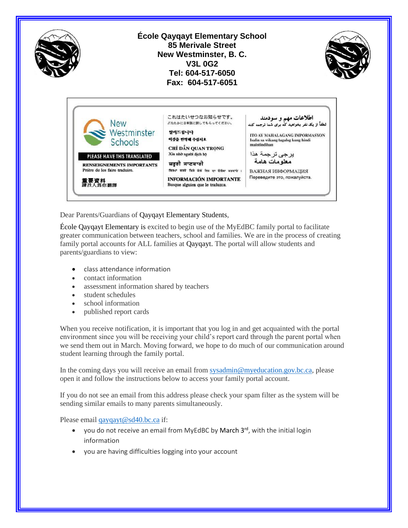

Dear Parents/Guardians of Qayqayt Elementary Students,

École Qayqayt Elementary is excited to begin use of the MyEdBC family portal to facilitate greater communication between teachers, school and families. We are in the process of creating family portal accounts for ALL families at Qayqayt. The portal will allow students and parents/guardians to view:

- class attendance information
- contact information
- assessment information shared by teachers
- student schedules
- school information
- published report cards

When you receive notification, it is important that you log in and get acquainted with the portal environment since you will be receiving your child's report card through the parent portal when we send them out in March. Moving forward, we hope to do much of our communication around student learning through the family portal.

In the coming days you will receive an email from [sysadmin@myeducation.gov.bc.ca,](mailto:sysadmin@myeducation.gov.bc.ca) please open it and follow the instructions below to access your family portal account.

If you do not see an email from this address please check your spam filter as the system will be sending similar emails to many parents simultaneously.

Please email [qayqayt@sd40.bc.ca](mailto:qayqayt@sd40.bc.ca) if:

- $\bullet$  you do not receive an email from MyEdBC by March  $3^{rd}$ , with the initial login information
- you are having difficulties logging into your account